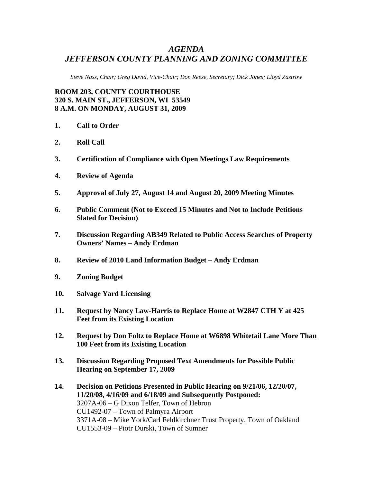## *AGENDA JEFFERSON COUNTY PLANNING AND ZONING COMMITTEE*

*Steve Nass, Chair; Greg David, Vice-Chair; Don Reese, Secretary; Dick Jones; Lloyd Zastrow* 

**ROOM 203, COUNTY COURTHOUSE 320 S. MAIN ST., JEFFERSON, WI 53549 8 A.M. ON MONDAY, AUGUST 31, 2009** 

- **1. Call to Order**
- **2. Roll Call**
- **3. Certification of Compliance with Open Meetings Law Requirements**
- **4. Review of Agenda**
- **5. Approval of July 27, August 14 and August 20, 2009 Meeting Minutes**
- **6. Public Comment (Not to Exceed 15 Minutes and Not to Include Petitions Slated for Decision)**
- **7. Discussion Regarding AB349 Related to Public Access Searches of Property Owners' Names – Andy Erdman**
- **8. Review of 2010 Land Information Budget Andy Erdman**
- **9. Zoning Budget**
- **10. Salvage Yard Licensing**
- **11. Request by Nancy Law-Harris to Replace Home at W2847 CTH Y at 425 Feet from its Existing Location**
- **12. Request by Don Foltz to Replace Home at W6898 Whitetail Lane More Than 100 Feet from its Existing Location**
- **13. Discussion Regarding Proposed Text Amendments for Possible Public Hearing on September 17, 2009**
- **14. Decision on Petitions Presented in Public Hearing on 9/21/06, 12/20/07, 11/20/08, 4/16/09 and 6/18/09 and Subsequently Postponed:**  3207A-06 – G Dixon Telfer, Town of Hebron CU1492-07 – Town of Palmyra Airport 3371A-08 – Mike York/Carl Feldkirchner Trust Property, Town of Oakland CU1553-09 – Piotr Durski, Town of Sumner